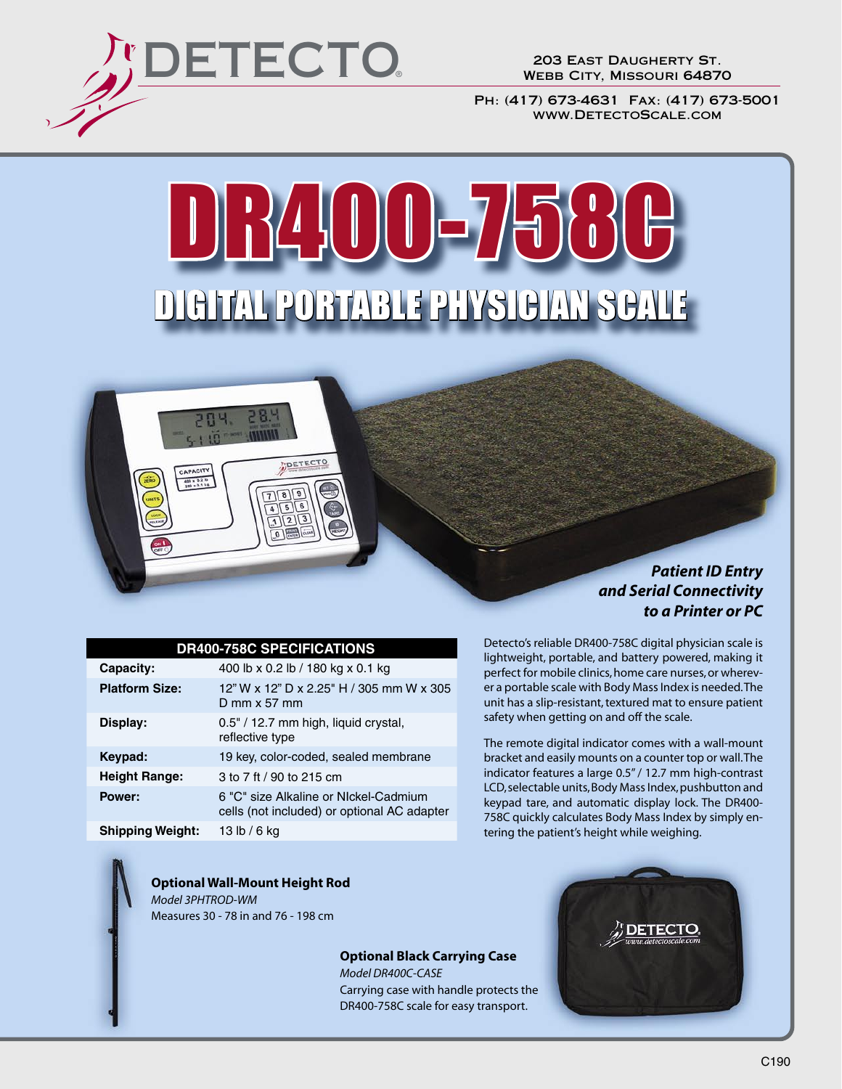

CAPACITY  $400 \times 0.1$  kg

203 East Daugherty St. Webb City, Missouri 64870

Ph: (417) 673-4631 Fax: (417) 673-5001 www.DetectoScale.com

# DR400-75 DIGITAL PORTABLE PHYSICIAN SCALE



#### **DR400-758C SPECIFICATIONS**

DETECTO

| Capacity:               | 400 lb x 0.2 lb / 180 kg x 0.1 kg                                                    |
|-------------------------|--------------------------------------------------------------------------------------|
| <b>Platform Size:</b>   | 12" W x 12" D x 2.25" H / 305 mm W x 305<br>D mm $\times$ 57 mm                      |
| Display:                | 0.5" / 12.7 mm high, liquid crystal,<br>reflective type                              |
| Keypad:                 | 19 key, color-coded, sealed membrane                                                 |
| <b>Height Range:</b>    | 3 to 7 ft / 90 to 215 cm                                                             |
| Power:                  | 6 "C" size Alkaline or NIckel-Cadmium<br>cells (not included) or optional AC adapter |
| <b>Shipping Weight:</b> | 13 lb / 6 ka                                                                         |

Detecto's reliable DR400-758C digital physician scale is lightweight, portable, and battery powered, making it perfect for mobile clinics, home care nurses, or wherever a portable scale with Body Mass Index is needed. The unit has a slip-resistant, textured mat to ensure patient safety when getting on and off the scale.

The remote digital indicator comes with a wall-mount bracket and easily mounts on a counter top or wall. The indicator features a large 0.5" / 12.7 mm high-contrast LCD, selectable units, Body Mass Index, pushbutton and keypad tare, and automatic display lock. The DR400- 758C quickly calculates Body Mass Index by simply entering the patient's height while weighing.

**Optional Wall-Mount Height Rod** *Model 3PHTROD-WM* Measures 30 - 78 in and 76 - 198 cm

> **Optional Black Carrying Case** *Model DR400C-CASE* Carrying case with handle protects the DR400-758C scale for easy transport.

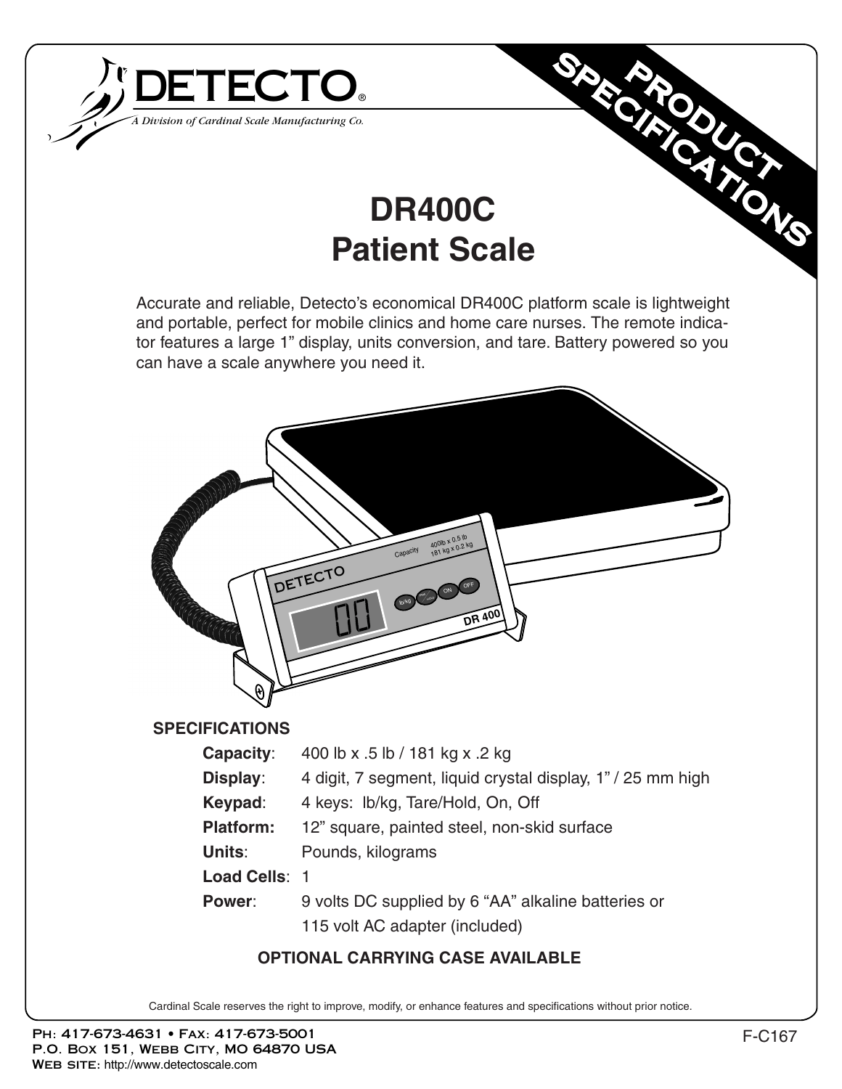

# **DR400C Patient Scale**

Accurate and reliable, Detecto's economical DR400C platform scale is lightweight and portable, perfect for mobile clinics and home care nurses. The remote indicator features a large 1" display, units conversion, and tare. Battery powered so you can have a scale anywhere you need it.



Cardinal Scale reserves the right to improve, modify, or enhance features and specifications without prior notice.